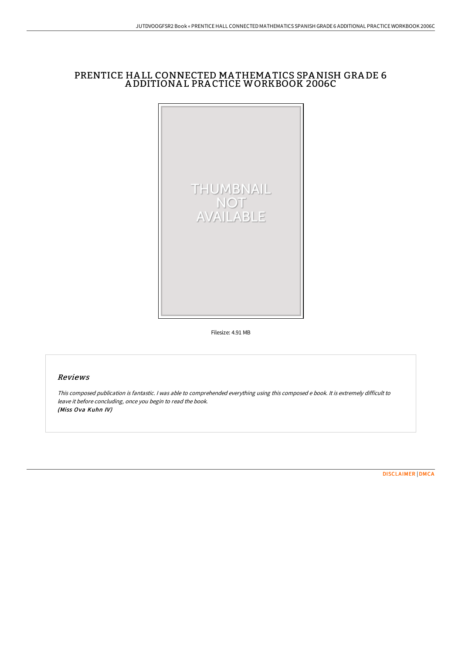# PRENTICE HA LL CONNECTED MA THEMA TICS SPANISH GRA DE 6 A DDITIONA L PRA CTICE WORKBOOK 2006C



Filesize: 4.91 MB

## Reviews

This composed publication is fantastic. <sup>I</sup> was able to comprehended everything using this composed <sup>e</sup> book. It is extremely difficult to leave it before concluding, once you begin to read the book. (Miss Ova Kuhn IV)

[DISCLAIMER](http://albedo.media/disclaimer.html) | [DMCA](http://albedo.media/dmca.html)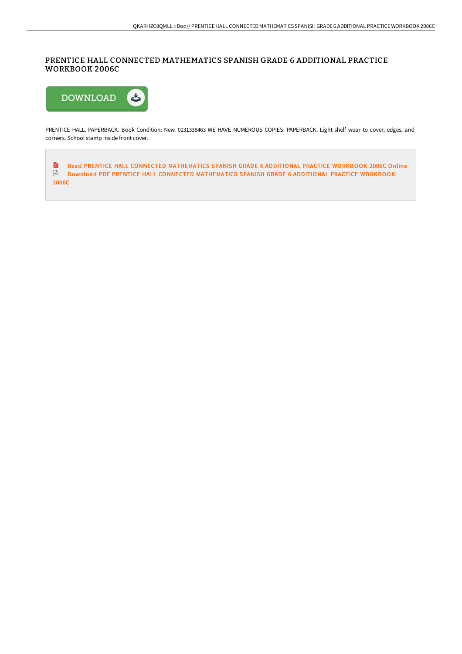# PRENTICE HALL CONNECTED MATHEMATICS SPANISH GRADE 6 ADDITIONAL PRACTICE WORKBOOK 2006C



PRENTICE HALL. PAPERBACK. Book Condition: New. 0131338463 WE HAVE NUMEROUS COPIES. PAPERBACK. Light shelf wear to cover, edges, and corners. School stamp inside front cover.